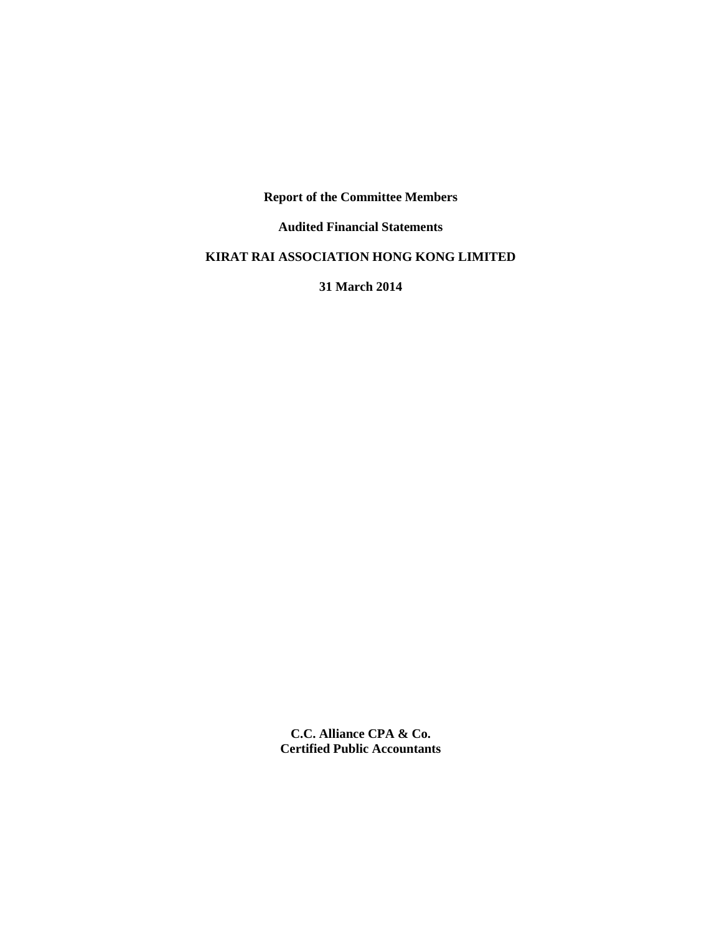**Report of the Committee Members**

**Audited Financial Statements**

# **KIRAT RAI ASSOCIATION HONG KONG LIMITED**

**31 March 2014**

**C.C. Alliance CPA & Co. Certified Public Accountants**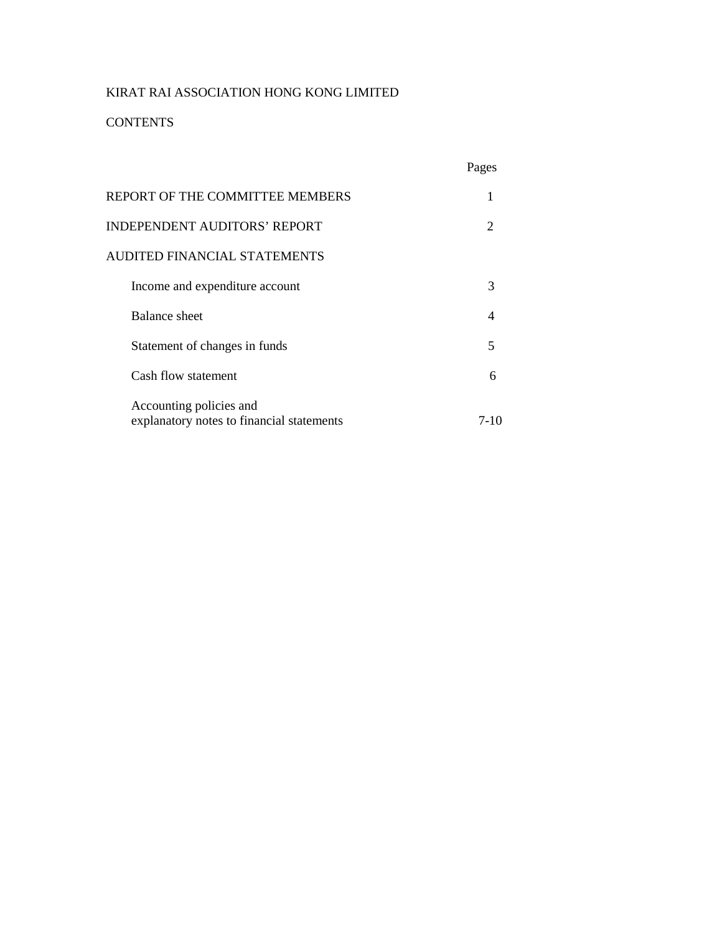# **CONTENTS**

|                                                                      | Pages  |
|----------------------------------------------------------------------|--------|
| REPORT OF THE COMMITTEE MEMBERS                                      | 1      |
| <b>INDEPENDENT AUDITORS' REPORT</b>                                  | 2      |
| AUDITED FINANCIAL STATEMENTS                                         |        |
| Income and expenditure account                                       | 3      |
| Balance sheet                                                        | 4      |
| Statement of changes in funds                                        | 5      |
| Cash flow statement                                                  | 6      |
| Accounting policies and<br>explanatory notes to financial statements | $7-10$ |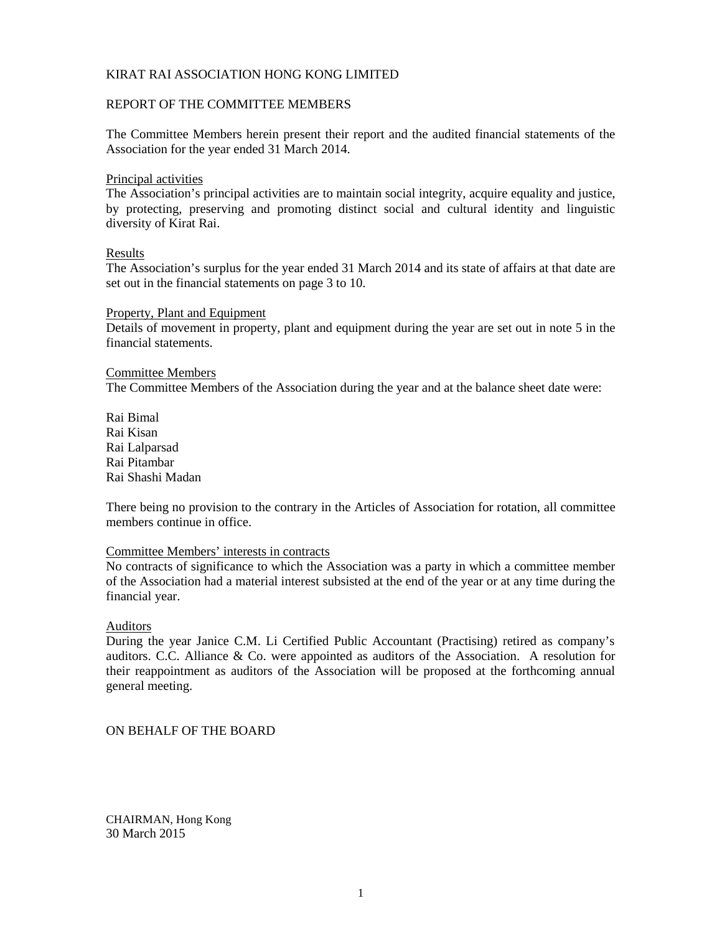### REPORT OF THE COMMITTEE MEMBERS

The Committee Members herein present their report and the audited financial statements of the Association for the year ended 31 March 2014.

#### Principal activities

The Association's principal activities are to maintain social integrity, acquire equality and justice, by protecting, preserving and promoting distinct social and cultural identity and linguistic diversity of Kirat Rai.

#### Results

The Association's surplus for the year ended 31 March 2014 and its state of affairs at that date are set out in the financial statements on page 3 to 10.

#### Property, Plant and Equipment

Details of movement in property, plant and equipment during the year are set out in note 5 in the financial statements.

#### Committee Members

The Committee Members of the Association during the year and at the balance sheet date were:

Rai Bimal Rai Kisan Rai Lalparsad Rai Pitambar Rai Shashi Madan

There being no provision to the contrary in the Articles of Association for rotation, all committee members continue in office.

#### Committee Members' interests in contracts

No contracts of significance to which the Association was a party in which a committee member of the Association had a material interest subsisted at the end of the year or at any time during the financial year.

#### Auditors

During the year Janice C.M. Li Certified Public Accountant (Practising) retired as company's auditors. C.C. Alliance & Co. were appointed as auditors of the Association. A resolution for their reappointment as auditors of the Association will be proposed at the forthcoming annual general meeting.

### ON BEHALF OF THE BOARD

CHAIRMAN, Hong Kong 30 March 2015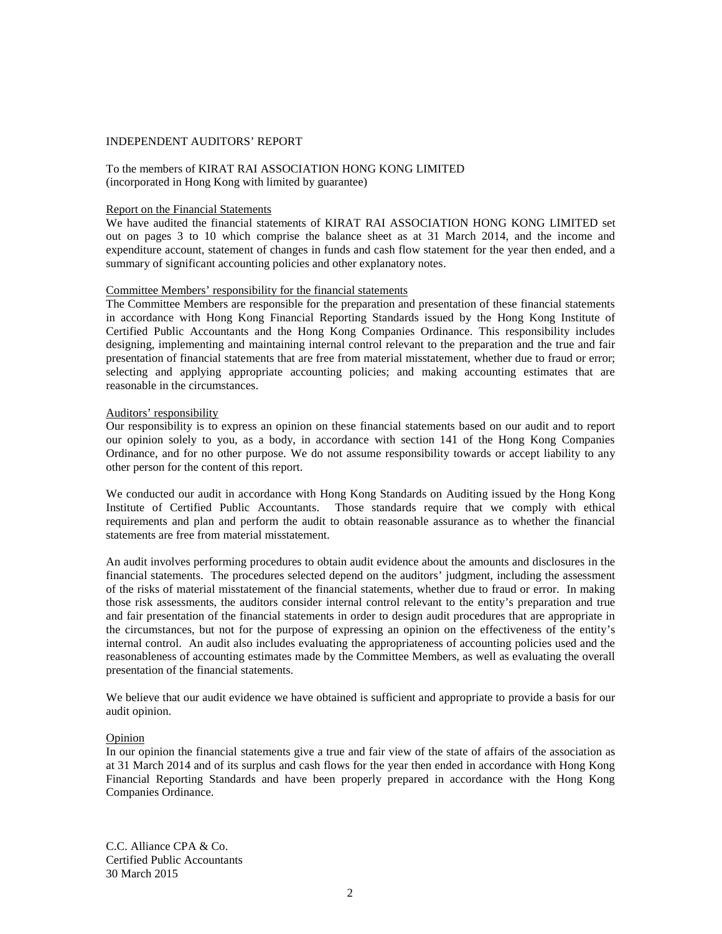#### INDEPENDENT AUDITORS' REPORT

To the members of KIRAT RAI ASSOCIATION HONG KONG LIMITED (incorporated in Hong Kong with limited by guarantee)

#### Report on the Financial Statements

We have audited the financial statements of KIRAT RAI ASSOCIATION HONG KONG LIMITED set out on pages 3 to 10 which comprise the balance sheet as at 31 March 2014, and the income and expenditure account, statement of changes in funds and cash flow statement for the year then ended, and a summary of significant accounting policies and other explanatory notes.

#### Committee Members' responsibility for the financial statements

The Committee Members are responsible for the preparation and presentation of these financial statements in accordance with Hong Kong Financial Reporting Standards issued by the Hong Kong Institute of Certified Public Accountants and the Hong Kong Companies Ordinance. This responsibility includes designing, implementing and maintaining internal control relevant to the preparation and the true and fair presentation of financial statements that are free from material misstatement, whether due to fraud or error; selecting and applying appropriate accounting policies; and making accounting estimates that are reasonable in the circumstances.

#### Auditors' responsibility

Our responsibility is to express an opinion on these financial statements based on our audit and to report our opinion solely to you, as a body, in accordance with section 141 of the Hong Kong Companies Ordinance, and for no other purpose. We do not assume responsibility towards or accept liability to any other person for the content of this report.

We conducted our audit in accordance with Hong Kong Standards on Auditing issued by the Hong Kong Institute of Certified Public Accountants. Those standards require that we comply with ethical requirements and plan and perform the audit to obtain reasonable assurance as to whether the financial statements are free from material misstatement.

An audit involves performing procedures to obtain audit evidence about the amounts and disclosures in the financial statements. The procedures selected depend on the auditors' judgment, including the assessment of the risks of material misstatement of the financial statements, whether due to fraud or error. In making those risk assessments, the auditors consider internal control relevant to the entity's preparation and true and fair presentation of the financial statements in order to design audit procedures that are appropriate in the circumstances, but not for the purpose of expressing an opinion on the effectiveness of the entity's internal control. An audit also includes evaluating the appropriateness of accounting policies used and the reasonableness of accounting estimates made by the Committee Members, as well as evaluating the overall presentation of the financial statements.

We believe that our audit evidence we have obtained is sufficient and appropriate to provide a basis for our audit opinion.

#### Opinion

In our opinion the financial statements give a true and fair view of the state of affairs of the association as at 31 March 2014 and of its surplus and cash flows for the year then ended in accordance with Hong Kong Financial Reporting Standards and have been properly prepared in accordance with the Hong Kong Companies Ordinance.

C.C. Alliance CPA & Co. Certified Public Accountants 30 March 2015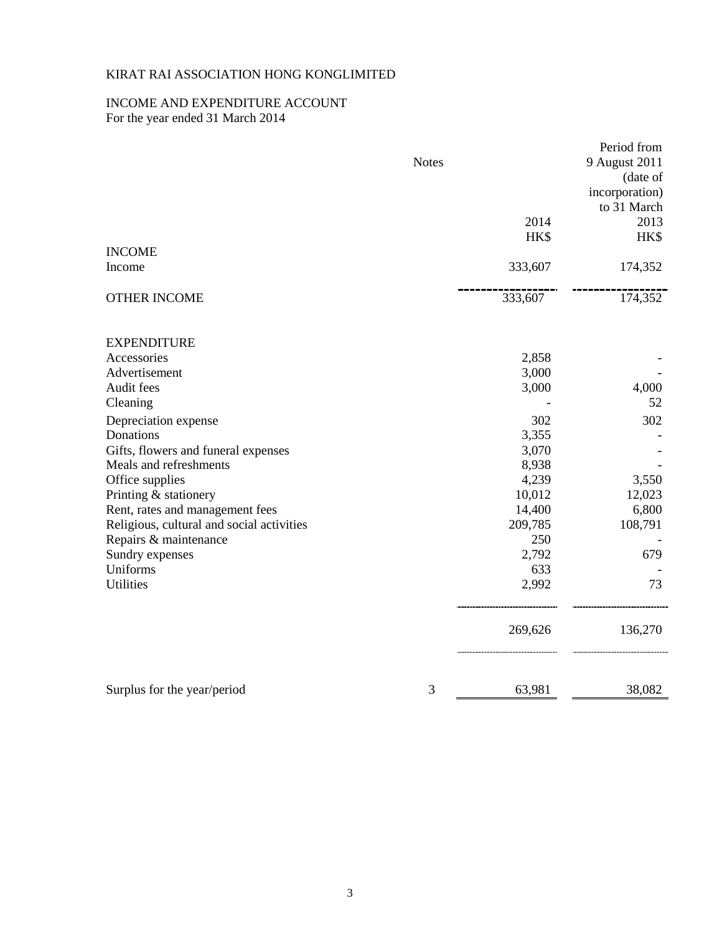## INCOME AND EXPENDITURE ACCOUNT For the year ended 31 March 2014

| <b>INCOME</b><br>Income                   | <b>Notes</b> | 2014<br>HK\$<br>333,607 | Period from<br>9 August 2011<br>(date of<br>incorporation)<br>to 31 March<br>2013<br>HK\$<br>174,352 |
|-------------------------------------------|--------------|-------------------------|------------------------------------------------------------------------------------------------------|
| <b>OTHER INCOME</b>                       |              | 333,607                 | 174,352                                                                                              |
|                                           |              |                         |                                                                                                      |
| <b>EXPENDITURE</b>                        |              |                         |                                                                                                      |
| Accessories                               |              | 2,858                   |                                                                                                      |
| Advertisement                             |              | 3,000                   |                                                                                                      |
| Audit fees                                |              | 3,000                   | 4,000                                                                                                |
| Cleaning                                  |              |                         | 52                                                                                                   |
| Depreciation expense                      |              | 302                     | 302                                                                                                  |
| Donations                                 |              | 3,355                   |                                                                                                      |
| Gifts, flowers and funeral expenses       |              | 3,070                   |                                                                                                      |
| Meals and refreshments                    |              | 8,938                   |                                                                                                      |
| Office supplies                           |              | 4,239                   | 3,550                                                                                                |
| Printing & stationery                     |              | 10,012                  | 12,023                                                                                               |
| Rent, rates and management fees           |              | 14,400                  | 6,800                                                                                                |
| Religious, cultural and social activities |              | 209,785                 | 108,791                                                                                              |
| Repairs & maintenance                     |              | 250                     |                                                                                                      |
| Sundry expenses<br>Uniforms               |              | 2,792<br>633            | 679                                                                                                  |
| Utilities                                 |              | 2,992                   | 73                                                                                                   |
|                                           |              |                         |                                                                                                      |
|                                           |              | 269,626                 | 136,270                                                                                              |
|                                           |              |                         |                                                                                                      |
| Surplus for the year/period               | 3            | 63,981                  | 38,082                                                                                               |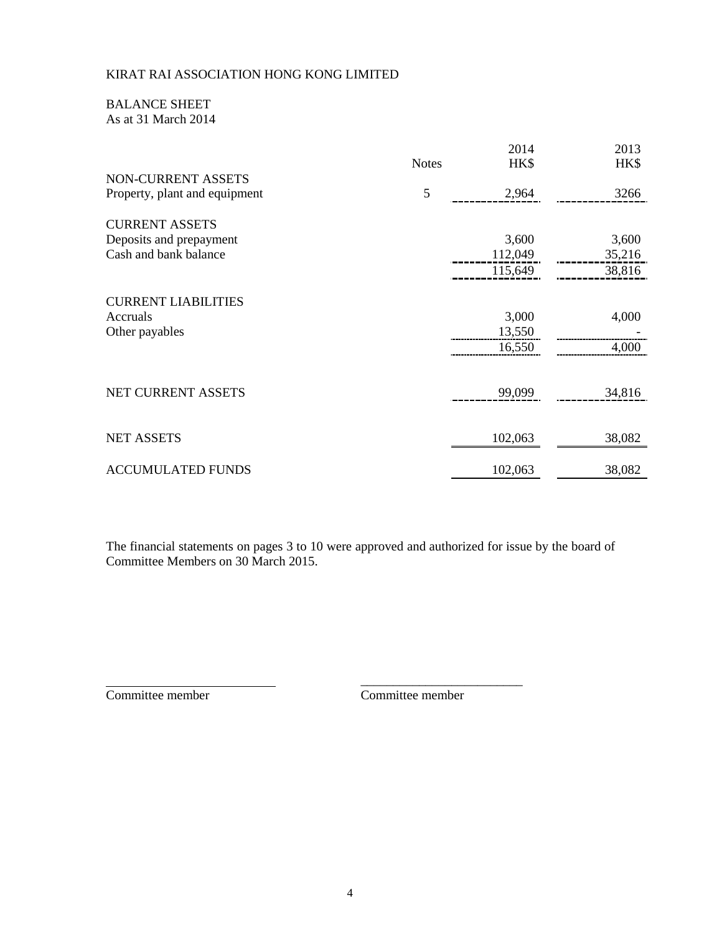### BALANCE SHEET As at 31 March 2014

|                               |              | 2014    | 2013   |
|-------------------------------|--------------|---------|--------|
|                               | <b>Notes</b> | HK\$    | HK\$   |
| <b>NON-CURRENT ASSETS</b>     |              |         |        |
| Property, plant and equipment | 5            | 2,964   | 3266   |
| <b>CURRENT ASSETS</b>         |              |         |        |
| Deposits and prepayment       |              | 3,600   | 3,600  |
| Cash and bank balance         |              | 112,049 | 35,216 |
|                               |              | 115,649 | 38,816 |
| <b>CURRENT LIABILITIES</b>    |              |         |        |
| Accruals                      |              | 3,000   | 4,000  |
| Other payables                |              | 13,550  |        |
|                               |              | 16,550  | 4,000  |
| <b>NET CURRENT ASSETS</b>     |              | 99,099  | 34,816 |
|                               |              |         |        |
| <b>NET ASSETS</b>             |              | 102,063 | 38,082 |
| <b>ACCUMULATED FUNDS</b>      |              | 102,063 | 38,082 |

The financial statements on pages 3 to 10 were approved and authorized for issue by the board of Committee Members on 30 March 2015.

 $\overline{\phantom{0}}$ 

Committee member Committee member

\_\_\_\_\_\_\_\_\_\_\_\_\_\_\_\_\_\_\_\_\_\_\_\_\_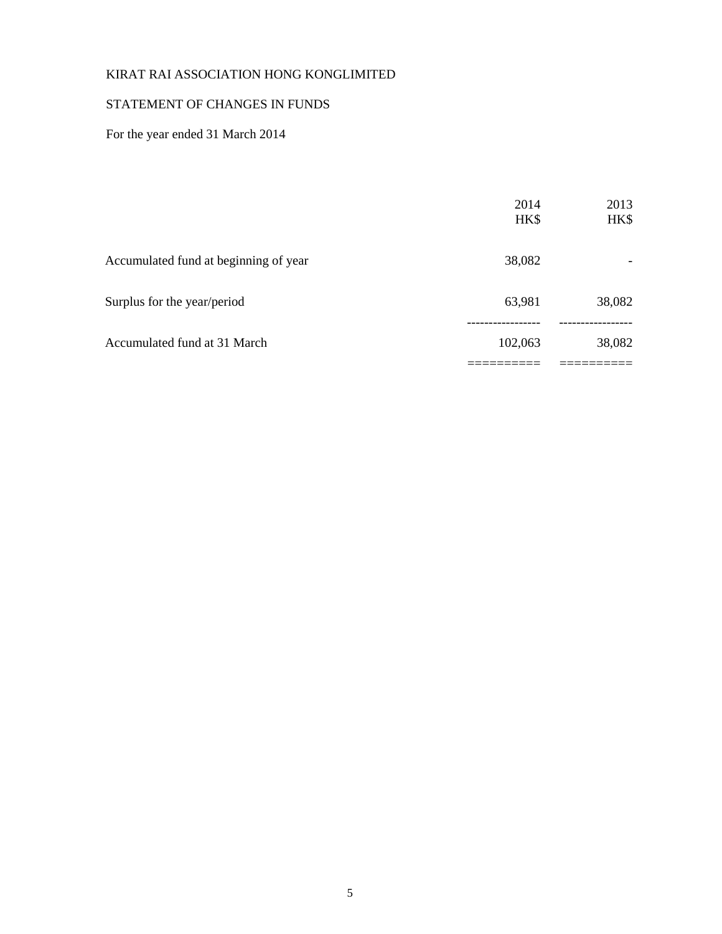# STATEMENT OF CHANGES IN FUNDS

# For the year ended 31 March 2014

|                                       | 2014<br>HK\$ | 2013<br>HK\$ |  |
|---------------------------------------|--------------|--------------|--|
| Accumulated fund at beginning of year | 38,082       | -            |  |
| Surplus for the year/period           | 63,981       | 38,082       |  |
| Accumulated fund at 31 March          | 102,063      | 38,082       |  |
|                                       |              |              |  |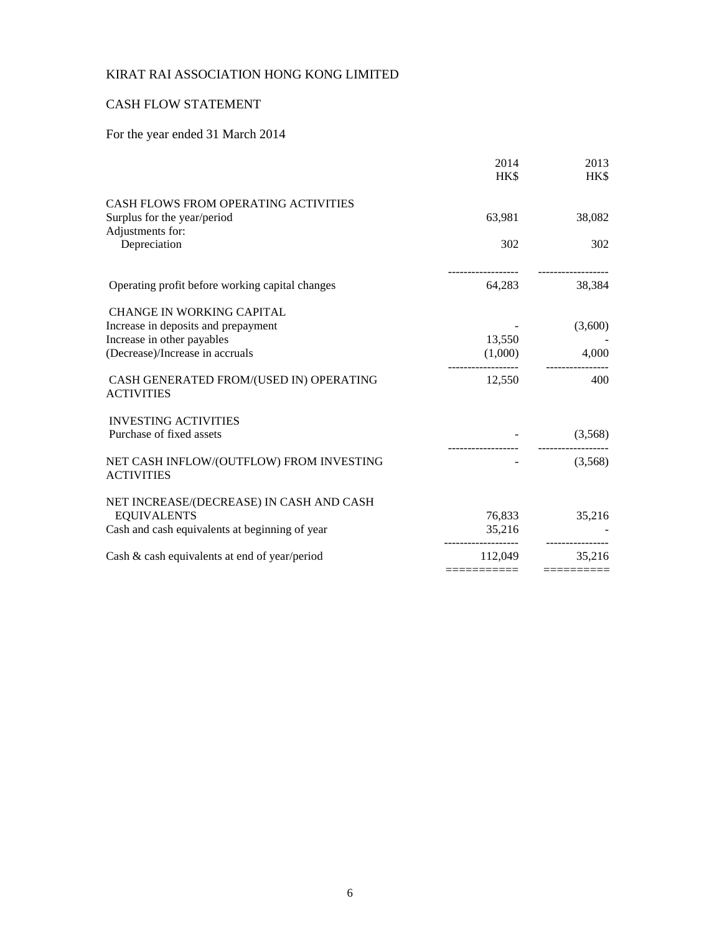## CASH FLOW STATEMENT

# For the year ended 31 March 2014

|                                                               | 2014<br>HK\$ | 2013<br>HK\$  |
|---------------------------------------------------------------|--------------|---------------|
| <b>CASH FLOWS FROM OPERATING ACTIVITIES</b>                   |              |               |
| Surplus for the year/period                                   | 63,981       | 38,082        |
| Adjustments for:                                              |              |               |
| Depreciation                                                  | 302          | 302           |
| Operating profit before working capital changes               |              | 64,283 38,384 |
| <b>CHANGE IN WORKING CAPITAL</b>                              |              |               |
| Increase in deposits and prepayment                           |              | (3,600)       |
| Increase in other payables                                    | 13,550       |               |
| (Decrease)/Increase in accruals                               | (1,000)      | 4,000         |
| CASH GENERATED FROM/(USED IN) OPERATING<br><b>ACTIVITIES</b>  | 12,550       | 400           |
| <b>INVESTING ACTIVITIES</b>                                   |              |               |
| Purchase of fixed assets                                      |              | (3,568)       |
| NET CASH INFLOW/(OUTFLOW) FROM INVESTING<br><b>ACTIVITIES</b> |              | (3,568)       |
| NET INCREASE/(DECREASE) IN CASH AND CASH                      |              |               |
| <b>EQUIVALENTS</b>                                            | 76,833       | 35,216        |
| Cash and cash equivalents at beginning of year                | 35,216       |               |
| Cash & cash equivalents at end of year/period                 | 112,049      | 35,216        |
|                                                               |              |               |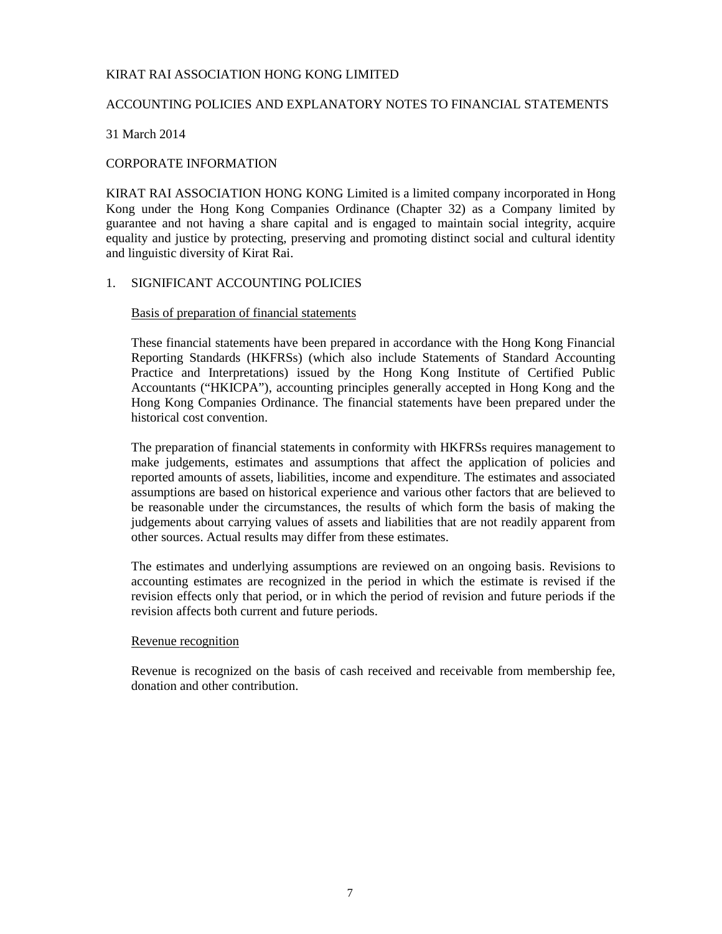### ACCOUNTING POLICIES AND EXPLANATORY NOTES TO FINANCIAL STATEMENTS

#### 31 March 2014

#### CORPORATE INFORMATION

KIRAT RAI ASSOCIATION HONG KONG Limited is a limited company incorporated in Hong Kong under the Hong Kong Companies Ordinance (Chapter 32) as a Company limited by guarantee and not having a share capital and is engaged to maintain social integrity, acquire equality and justice by protecting, preserving and promoting distinct social and cultural identity and linguistic diversity of Kirat Rai.

#### 1. SIGNIFICANT ACCOUNTING POLICIES

#### Basis of preparation of financial statements

These financial statements have been prepared in accordance with the Hong Kong Financial Reporting Standards (HKFRSs) (which also include Statements of Standard Accounting Practice and Interpretations) issued by the Hong Kong Institute of Certified Public Accountants ("HKICPA"), accounting principles generally accepted in Hong Kong and the Hong Kong Companies Ordinance. The financial statements have been prepared under the historical cost convention.

The preparation of financial statements in conformity with HKFRSs requires management to make judgements, estimates and assumptions that affect the application of policies and reported amounts of assets, liabilities, income and expenditure. The estimates and associated assumptions are based on historical experience and various other factors that are believed to be reasonable under the circumstances, the results of which form the basis of making the judgements about carrying values of assets and liabilities that are not readily apparent from other sources. Actual results may differ from these estimates.

The estimates and underlying assumptions are reviewed on an ongoing basis. Revisions to accounting estimates are recognized in the period in which the estimate is revised if the revision effects only that period, or in which the period of revision and future periods if the revision affects both current and future periods.

#### Revenue recognition

Revenue is recognized on the basis of cash received and receivable from membership fee, donation and other contribution.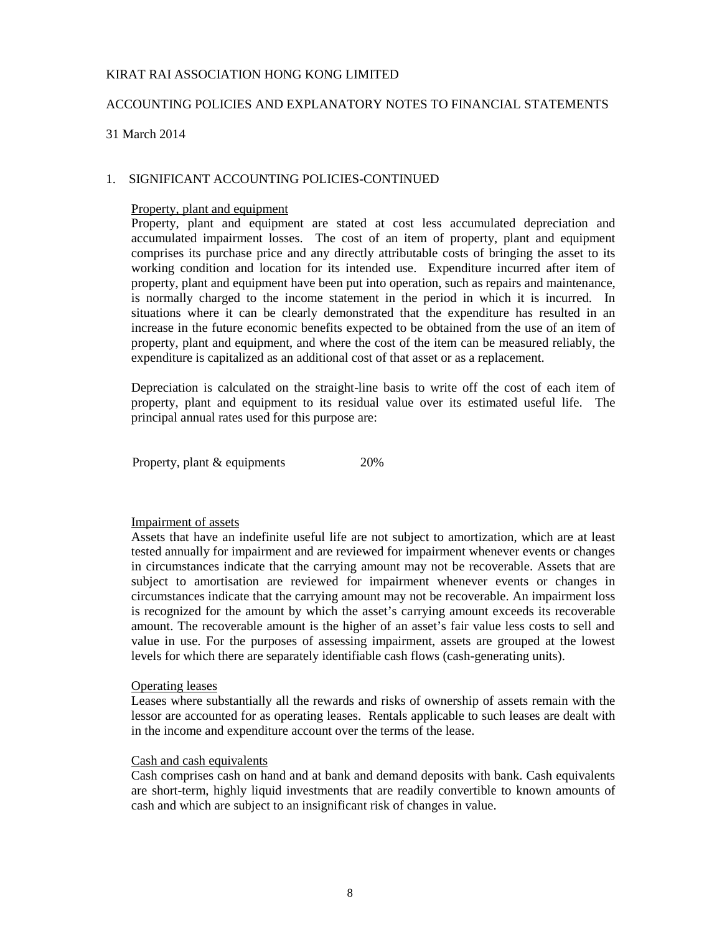#### ACCOUNTING POLICIES AND EXPLANATORY NOTES TO FINANCIAL STATEMENTS

31 March 2014

### 1. SIGNIFICANT ACCOUNTING POLICIES-CONTINUED

#### Property, plant and equipment

Property, plant and equipment are stated at cost less accumulated depreciation and accumulated impairment losses. The cost of an item of property, plant and equipment comprises its purchase price and any directly attributable costs of bringing the asset to its working condition and location for its intended use. Expenditure incurred after item of property, plant and equipment have been put into operation, such as repairs and maintenance, is normally charged to the income statement in the period in which it is incurred. In situations where it can be clearly demonstrated that the expenditure has resulted in an increase in the future economic benefits expected to be obtained from the use of an item of property, plant and equipment, and where the cost of the item can be measured reliably, the expenditure is capitalized as an additional cost of that asset or as a replacement.

Depreciation is calculated on the straight-line basis to write off the cost of each item of property, plant and equipment to its residual value over its estimated useful life. The principal annual rates used for this purpose are:

Property, plant & equipments 20%

#### Impairment of assets

Assets that have an indefinite useful life are not subject to amortization, which are at least tested annually for impairment and are reviewed for impairment whenever events or changes in circumstances indicate that the carrying amount may not be recoverable. Assets that are subject to amortisation are reviewed for impairment whenever events or changes in circumstances indicate that the carrying amount may not be recoverable. An impairment loss is recognized for the amount by which the asset's carrying amount exceeds its recoverable amount. The recoverable amount is the higher of an asset's fair value less costs to sell and value in use. For the purposes of assessing impairment, assets are grouped at the lowest levels for which there are separately identifiable cash flows (cash-generating units).

#### Operating leases

Leases where substantially all the rewards and risks of ownership of assets remain with the lessor are accounted for as operating leases. Rentals applicable to such leases are dealt with in the income and expenditure account over the terms of the lease.

### Cash and cash equivalents

Cash comprises cash on hand and at bank and demand deposits with bank. Cash equivalents are short-term, highly liquid investments that are readily convertible to known amounts of cash and which are subject to an insignificant risk of changes in value.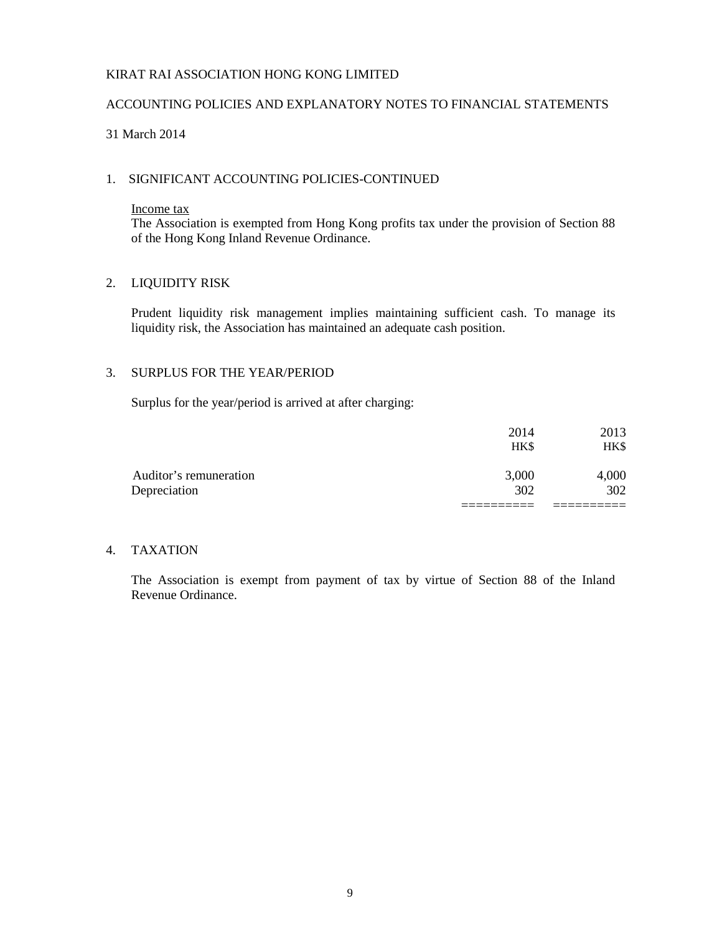## ACCOUNTING POLICIES AND EXPLANATORY NOTES TO FINANCIAL STATEMENTS

### 31 March 2014

### 1. SIGNIFICANT ACCOUNTING POLICIES-CONTINUED

#### Income tax

The Association is exempted from Hong Kong profits tax under the provision of Section 88 of the Hong Kong Inland Revenue Ordinance.

## 2. LIQUIDITY RISK

Prudent liquidity risk management implies maintaining sufficient cash. To manage its liquidity risk, the Association has maintained an adequate cash position.

## 3. SURPLUS FOR THE YEAR/PERIOD

Surplus for the year/period is arrived at after charging:

| 3,000<br>302 | 4,000<br>302 |      |
|--------------|--------------|------|
|              |              |      |
|              |              |      |
| HK\$         | HK\$         |      |
|              | 2014         | 2013 |

### 4. TAXATION

The Association is exempt from payment of tax by virtue of Section 88 of the Inland Revenue Ordinance.